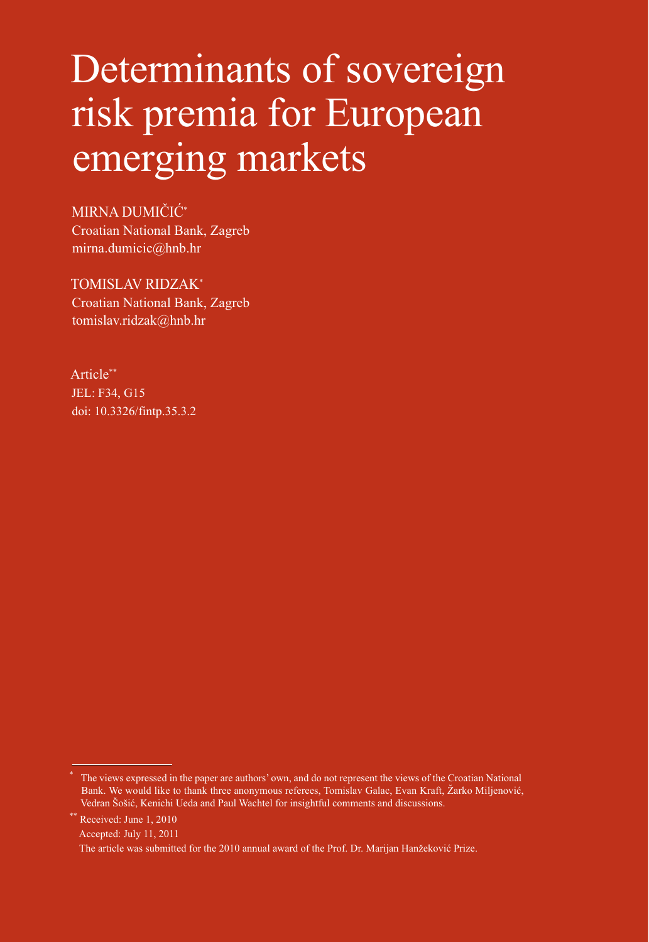# Determinants of sovereign risk premia for European emerging markets

MIRNA DUMIČIĆ\* Croatian National Bank, Zagreb mirna.dumicic@hnb.hr

TOMISLAV RIDZAK\* Croatian National Bank, Zagreb tomislav.ridzak@hnb.hr

Article\*\* JEL: F34, G15 doi: [10.3326/fintp.35.3.2](http://dx.doi.org/10.3326/fintp.35.3.2)

Received: June 1, 2010

Accepted: July 11, 2011

<sup>\*</sup> The views expressed in the paper are authors' own, and do not represent the views of the Croatian National Bank. We would like to thank three anonymous referees, Tomislav Galac, Evan Kraft, Žarko Miljenović, Vedran Šošić, Kenichi Ueda and Paul Wachtel for insightful comments and discussions.

The article was submitted for the 2010 annual award of the Prof. Dr. Marijan Hanžeković Prize.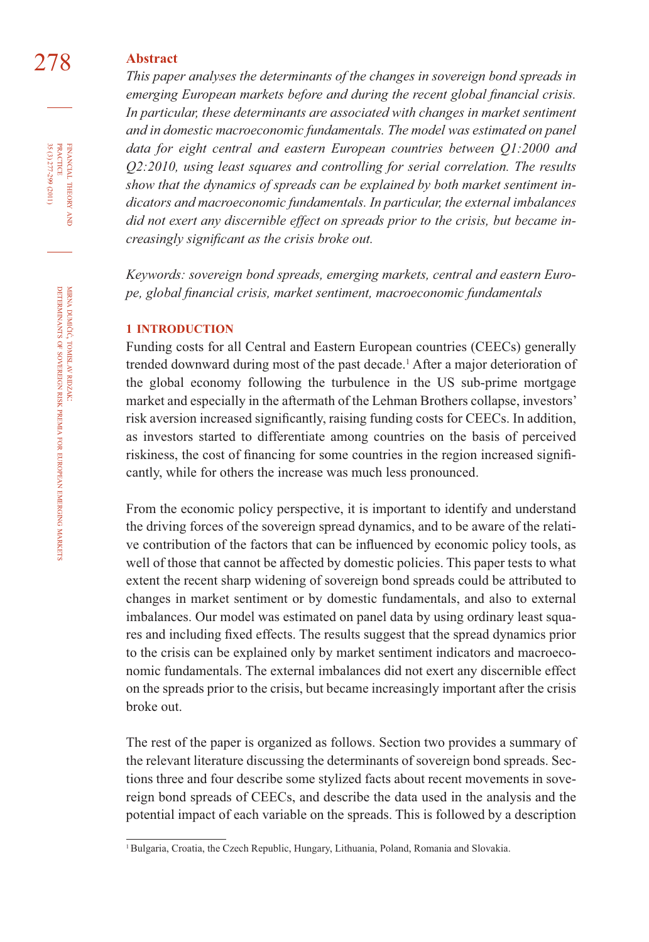### 278 **Abstract**

*This paper analyses the determinants of the changes in sovereign bond spreads in emerging European markets before and during the recent global financial crisis. In particular, these determinants are associated with changes in market sentiment and in domestic macroeconomic fundamentals. The model was estimated on panel data for eight central and eastern European countries between Q1:2000 and Q2:2010, using least squares and controlling for serial correlation. The results show that the dynamics of spreads can be explained by both market sentiment indicators and macroeconomic fundamentals. In particular, the external imbalances did not exert any discernible effect on spreads prior to the crisis, but became increasingly significant as the crisis broke out.* 

*Keywords: sovereign bond spreads, emerging markets, central and eastern Europe, global fi nancial crisis, market sentiment, macroeconomic fundamentals*

#### **1 INTRODUCTION**

Funding costs for all Central and Eastern European countries (CEECs) generally trended downward during most of the past decade.<sup>1</sup> After a major deterioration of the global economy following the turbulence in the US sub-prime mortgage market and especially in the aftermath of the Lehman Brothers collapse, investors' risk aversion increased significantly, raising funding costs for CEECs. In addition, as investors started to differentiate among countries on the basis of perceived riskiness, the cost of financing for some countries in the region increased significantly, while for others the increase was much less pronounced.

From the economic policy perspective, it is important to identify and understand the driving forces of the sovereign spread dynamics, and to be aware of the relative contribution of the factors that can be influenced by economic policy tools, as well of those that cannot be affected by domestic policies. This paper tests to what extent the recent sharp widening of sovereign bond spreads could be attributed to changes in market sentiment or by domestic fundamentals, and also to external imbalances. Our model was estimated on panel data by using ordinary least squares and including fi xed effects. The results suggest that the spread dynamics prior to the crisis can be explained only by market sentiment indicators and macroeconomic fundamentals. The external imbalances did not exert any discernible effect on the spreads prior to the crisis, but became increasingly important after the crisis broke out.

The rest of the paper is organized as follows. Section two provides a summary of the relevant literature discussing the determinants of sovereign bond spreads. Sections three and four describe some stylized facts about recent movements in sovereign bond spreads of CEECs, and describe the data used in the analysis and the potential impact of each variable on the spreads. This is followed by a description

FINANCIAL THEORY AND PRACTICE 35 (3) 277-299 (2011) 35 (3) 277-299 (2011) PRACTICE FINANCIAL THEORY

<sup>&</sup>lt;sup>1</sup> Bulgaria, Croatia, the Czech Republic, Hungary, Lithuania, Poland, Romania and Slovakia.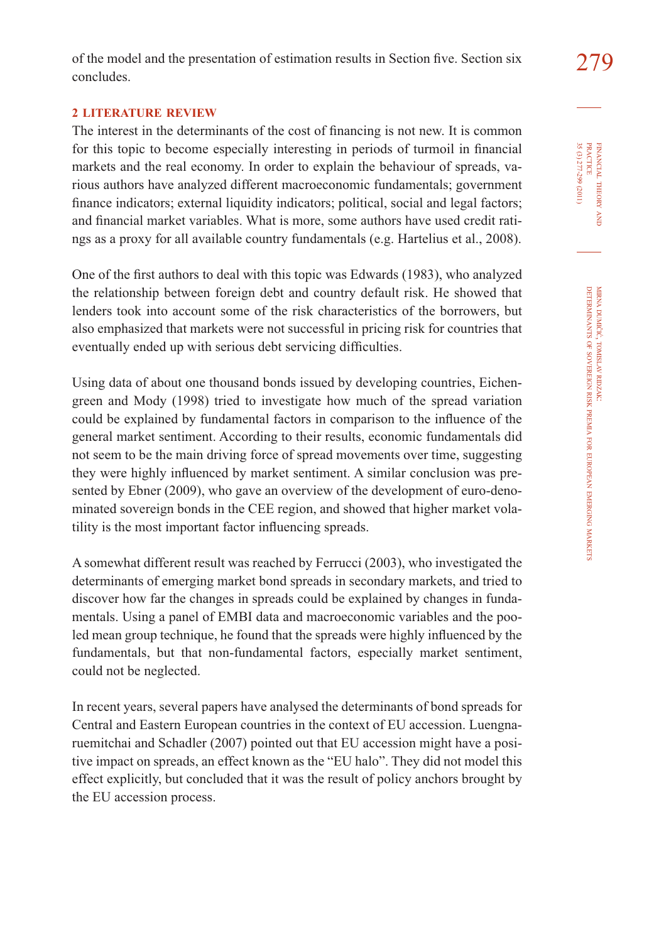#### **2 LITERATURE REVIEW**

The interest in the determinants of the cost of financing is not new. It is common for this topic to become especially interesting in periods of turmoil in financial markets and the real economy. In order to explain the behaviour of spreads, various authors have analyzed different macroeconomic fundamentals; government finance indicators; external liquidity indicators; political, social and legal factors; and financial market variables. What is more, some authors have used credit ratings as a proxy for all available country fundamentals (e.g. Hartelius et al., 2008).

One of the first authors to deal with this topic was Edwards (1983), who analyzed the relationship between foreign debt and country default risk. He showed that lenders took into account some of the risk characteristics of the borrowers, but also emphasized that markets were not successful in pricing risk for countries that eventually ended up with serious debt servicing difficulties.

Using data of about one thousand bonds issued by developing countries, Eichengreen and Mody (1998) tried to investigate how much of the spread variation could be explained by fundamental factors in comparison to the influence of the general market sentiment. According to their results, economic fundamentals did not seem to be the main driving force of spread movements over time, suggesting they were highly influenced by market sentiment. A similar conclusion was presented by Ebner (2009), who gave an overview of the development of euro-denominated sovereign bonds in the CEE region, and showed that higher market volatility is the most important factor influencing spreads.

A somewhat different result was reached by Ferrucci (2003), who investigated the determinants of emerging market bond spreads in secondary markets, and tried to discover how far the changes in spreads could be explained by changes in fundamentals. Using a panel of EMBI data and macroeconomic variables and the pooled mean group technique, he found that the spreads were highly influenced by the fundamentals, but that non-fundamental factors, especially market sentiment, could not be neglected.

In recent years, several papers have analysed the determinants of bond spreads for Central and Eastern European countries in the context of EU accession. Luengnaruemitchai and Schadler (2007) pointed out that EU accession might have a positive impact on spreads, an effect known as the "EU halo". They did not model this effect explicitly, but concluded that it was the result of policy anchors brought by the EU accession process.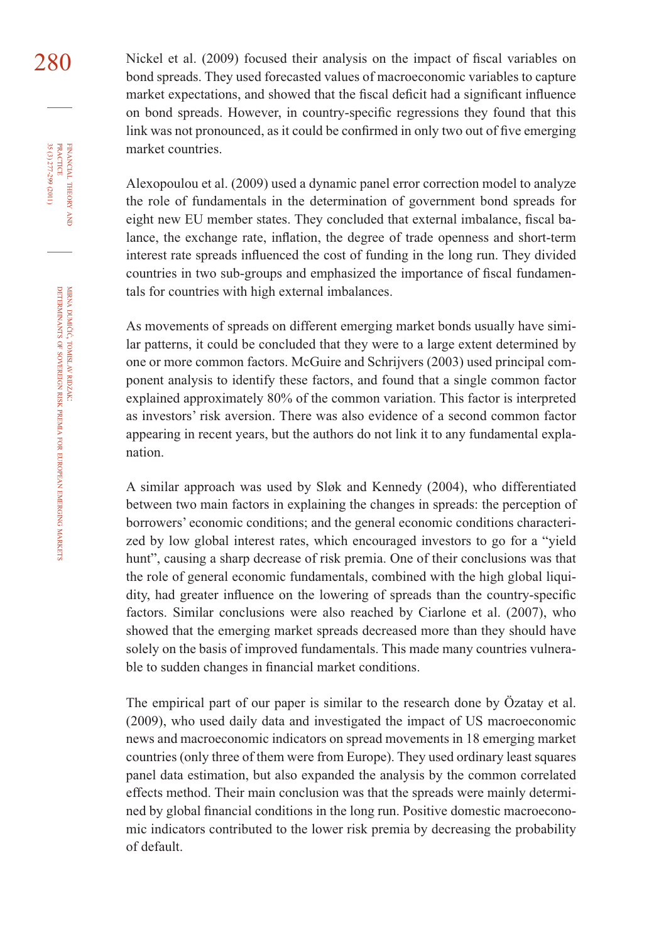$280$  Nickel et al. (2009) focused their analysis on the impact of fiscal variables on bond spreads. They used forecasted values of macroeconomic variables to capture market expectations, and showed that the fiscal deficit had a significant influence on bond spreads. However, in country-specific regressions they found that this link was not pronounced, as it could be confirmed in only two out of five emerging market countries.

> Alexopoulou et al. (2009) used a dynamic panel error correction model to analyze the role of fundamentals in the determination of government bond spreads for eight new EU member states. They concluded that external imbalance, fiscal balance, the exchange rate, inflation, the degree of trade openness and short-term interest rate spreads influenced the cost of funding in the long run. They divided countries in two sub-groups and emphasized the importance of fiscal fundamentals for countries with high external imbalances.

> As movements of spreads on different emerging market bonds usually have similar patterns, it could be concluded that they were to a large extent determined by one or more common factors. McGuire and Schrijvers (2003) used principal component analysis to identify these factors, and found that a single common factor explained approximately 80% of the common variation. This factor is interpreted as investors' risk aversion. There was also evidence of a second common factor appearing in recent years, but the authors do not link it to any fundamental explanation.

> A similar approach was used by Sløk and Kennedy (2004), who differentiated between two main factors in explaining the changes in spreads: the perception of borrowers' economic conditions; and the general economic conditions characterized by low global interest rates, which encouraged investors to go for a "yield hunt", causing a sharp decrease of risk premia. One of their conclusions was that the role of general economic fundamentals, combined with the high global liquidity, had greater influence on the lowering of spreads than the country-specific factors. Similar conclusions were also reached by Ciarlone et al. (2007), who showed that the emerging market spreads decreased more than they should have solely on the basis of improved fundamentals. This made many countries vulnerable to sudden changes in financial market conditions.

> The empirical part of our paper is similar to the research done by Özatay et al. (2009), who used daily data and investigated the impact of US macroeconomic news and macroeconomic indicators on spread movements in 18 emerging market countries (only three of them were from Europe). They used ordinary least squares panel data estimation, but also expanded the analysis by the common correlated effects method. Their main conclusion was that the spreads were mainly determined by global financial conditions in the long run. Positive domestic macroeconomic indicators contributed to the lower risk premia by decreasing the probability of default.

FINANCIAL

35 (3) 277-299 (2011)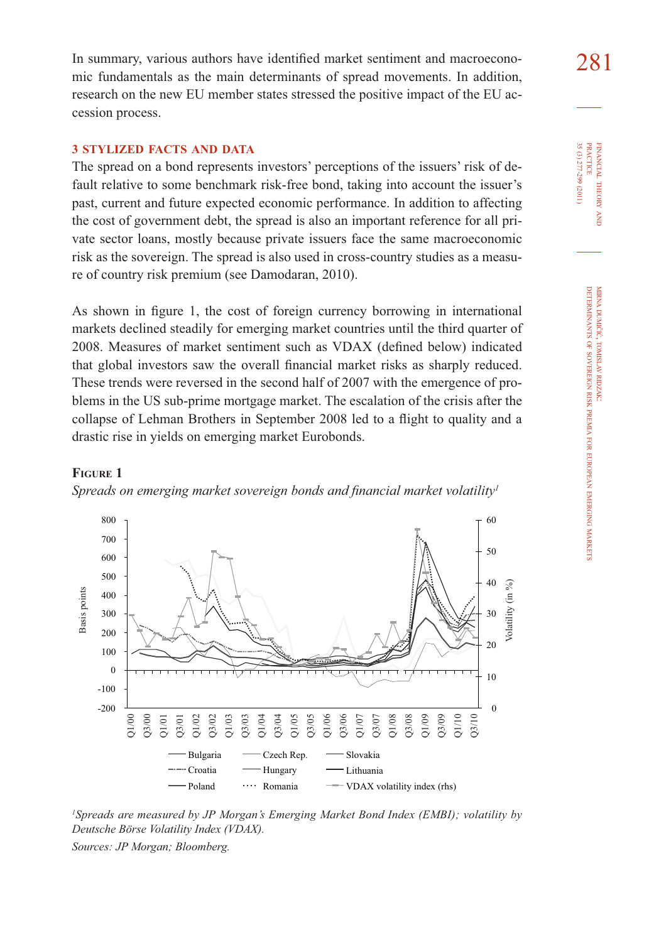In summary, various authors have identified market sentiment and macroecono- $281$ mic fundamentals as the main determinants of spread movements. In addition, research on the new EU member states stressed the positive impact of the EU accession process.

#### **3 STYLIZED FACTS AND DATA**

The spread on a bond represents investors' perceptions of the issuers' risk of default relative to some benchmark risk-free bond, taking into account the issuer's past, current and future expected economic performance. In addition to affecting the cost of government debt, the spread is also an important reference for all private sector loans, mostly because private issuers face the same macroeconomic risk as the sovereign. The spread is also used in cross-country studies as a measure of country risk premium (see Damodaran, 2010).

As shown in figure 1, the cost of foreign currency borrowing in international markets declined steadily for emerging market countries until the third quarter of 2008. Measures of market sentiment such as VDAX (defined below) indicated that global investors saw the overall financial market risks as sharply reduced. These trends were reversed in the second half of 2007 with the emergence of problems in the US sub-prime mortgage market. The escalation of the crisis after the collapse of Lehman Brothers in September 2008 led to a flight to quality and a drastic rise in yields on emerging market Eurobonds.

#### **FIGURE 1**

> Q3/00 Q1/01

Q1/02 Q3/02 Q1/03

**Basis** points

Basis points

Basis points



*Spreads on emerging market sovereign bonds and financial market volatility<sup>1</sup>* 



Q1/05 Q3/05 Q1/06 Q3/06 Q1/07 Q3/07 Q1/08 Q3/08 Q1/09 Q3/09 Q1/10 Q3/10

*1 Spreads are measured by JP Morgan's Emerging Market Bond Index (EMBI); volatility by Deutsche Börse Volatility Index (VDAX). Sources: JP Morgan; Bloomberg.*

35 (3) 277-299 (2011) **PRACTICE** PRACTICE FINANCIAL 35 (3) 277-299 (2011) FINANCIAL THEORY THEORY AND

0

10

 $20$ 

30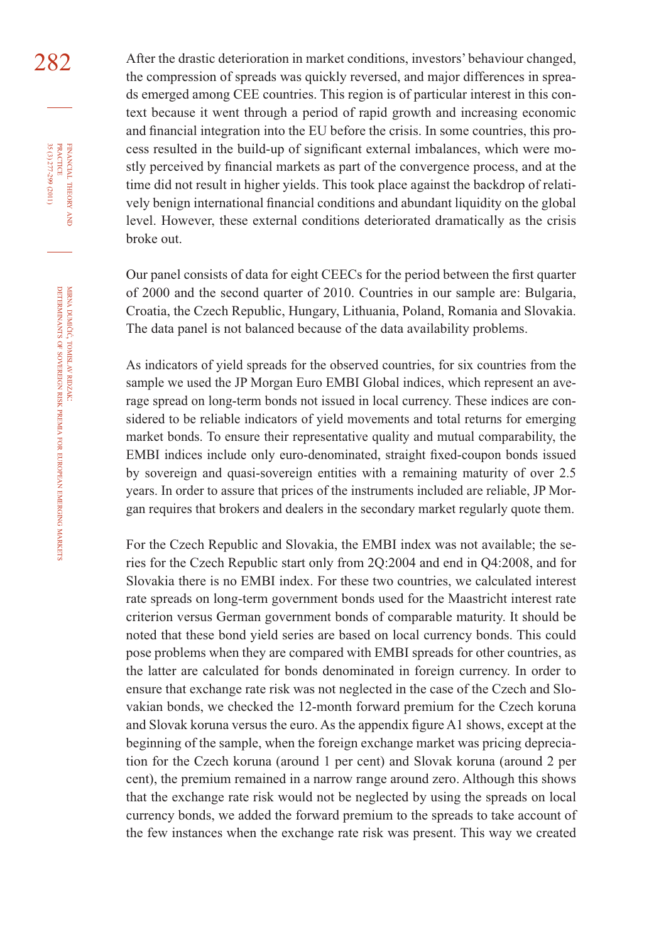282 After the drastic deterioration in market conditions, investors' behaviour changed, the compression of spreads was quickly reversed, and major differences in spreads emerged among CEE countries. This region is of particular interest in this context because it went through a period of rapid growth and increasing economic and financial integration into the EU before the crisis. In some countries, this process resulted in the build-up of significant external imbalances, which were mostly perceived by financial markets as part of the convergence process, and at the time did not result in higher yields. This took place against the backdrop of relatively benign international financial conditions and abundant liquidity on the global level. However, these external conditions deteriorated dramatically as the crisis broke out.

> Our panel consists of data for eight CEECs for the period between the first quarter of 2000 and the second quarter of 2010. Countries in our sample are: Bulgaria, Croatia, the Czech Republic, Hungary, Lithuania, Poland, Romania and Slovakia. The data panel is not balanced because of the data availability problems.

> As indicators of yield spreads for the observed countries, for six countries from the sample we used the JP Morgan Euro EMBI Global indices, which represent an average spread on long-term bonds not issued in local currency. These indices are considered to be reliable indicators of yield movements and total returns for emerging market bonds. To ensure their representative quality and mutual comparability, the EMBI indices include only euro-denominated, straight fixed-coupon bonds issued by sovereign and quasi-sovereign entities with a remaining maturity of over 2.5 years. In order to assure that prices of the instruments included are reliable, JP Morgan requires that brokers and dealers in the secondary market regularly quote them.

> For the Czech Republic and Slovakia, the EMBI index was not available; the series for the Czech Republic start only from 2Q:2004 and end in Q4:2008, and for Slovakia there is no EMBI index. For these two countries, we calculated interest rate spreads on long-term government bonds used for the Maastricht interest rate criterion versus German government bonds of comparable maturity. It should be noted that these bond yield series are based on local currency bonds. This could pose problems when they are compared with EMBI spreads for other countries, as the latter are calculated for bonds denominated in foreign currency. In order to ensure that exchange rate risk was not neglected in the case of the Czech and Slovakian bonds, we checked the 12-month forward premium for the Czech koruna and Slovak koruna versus the euro. As the appendix figure A1 shows, except at the beginning of the sample, when the foreign exchange market was pricing depreciation for the Czech koruna (around 1 per cent) and Slovak koruna (around 2 per cent), the premium remained in a narrow range around zero. Although this shows that the exchange rate risk would not be neglected by using the spreads on local currency bonds, we added the forward premium to the spreads to take account of the few instances when the exchange rate risk was present. This way we created

FINANCIAL

35 (3) 277-299 (2011)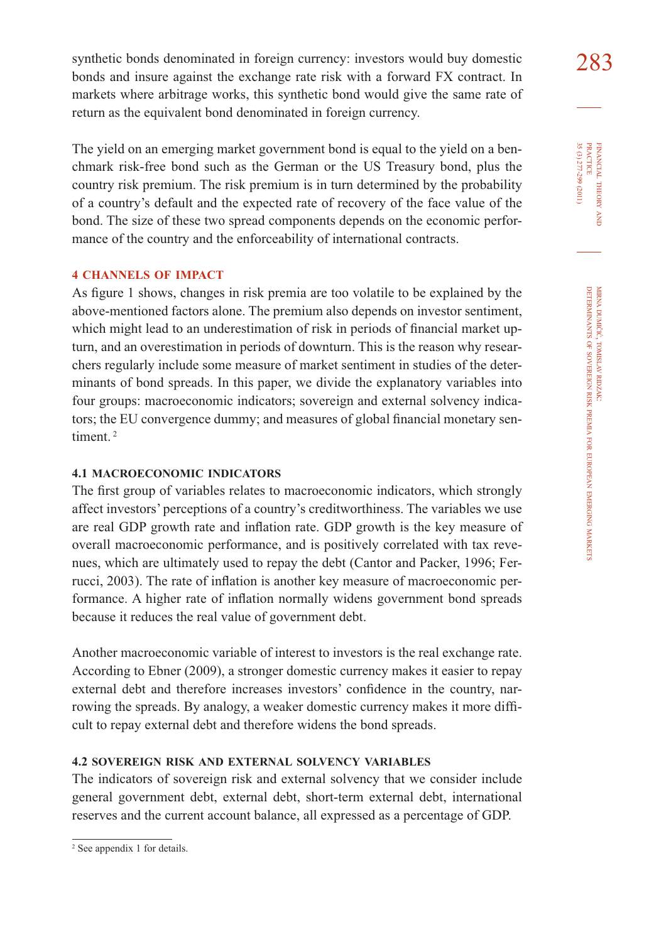synthetic bonds denominated in foreign currency: investors would buy domestic  $283$ bonds and insure against the exchange rate risk with a forward FX contract. In markets where arbitrage works, this synthetic bond would give the same rate of return as the equivalent bond denominated in foreign currency.

The yield on an emerging market government bond is equal to the yield on a benchmark risk-free bond such as the German or the US Treasury bond, plus the country risk premium. The risk premium is in turn determined by the probability of a country's default and the expected rate of recovery of the face value of the bond. The size of these two spread components depends on the economic performance of the country and the enforceability of international contracts.

#### **4 CHANNELS OF IMPACT**

As figure 1 shows, changes in risk premia are too volatile to be explained by the above-mentioned factors alone. The premium also depends on investor sentiment, which might lead to an underestimation of risk in periods of financial market upturn, and an overestimation in periods of downturn. This is the reason why researchers regularly include some measure of market sentiment in studies of the determinants of bond spreads. In this paper, we divide the explanatory variables into four groups: macroeconomic indicators; sovereign and external solvency indicators; the EU convergence dummy; and measures of global financial monetary sentiment. 2

#### **4.1 MACROECONOMIC INDICATORS**

The first group of variables relates to macroeconomic indicators, which strongly affect investors' perceptions of a country's creditworthiness. The variables we use are real GDP growth rate and inflation rate. GDP growth is the key measure of overall macroeconomic performance, and is positively correlated with tax revenues, which are ultimately used to repay the debt (Cantor and Packer, 1996; Ferrucci, 2003). The rate of inflation is another key measure of macroeconomic performance. A higher rate of inflation normally widens government bond spreads because it reduces the real value of government debt.

Another macroeconomic variable of interest to investors is the real exchange rate. According to Ebner (2009), a stronger domestic currency makes it easier to repay external debt and therefore increases investors' confidence in the country, narrowing the spreads. By analogy, a weaker domestic currency makes it more difficult to repay external debt and therefore widens the bond spreads.

#### **4.2 SOVEREIGN RISK AND EXTERNAL SOLVENCY VARIABLES**

The indicators of sovereign risk and external solvency that we consider include general government debt, external debt, short-term external debt, international reserves and the current account balance, all expressed as a percentage of GDP.

FINANCIAL THEORY FINANCIAL THEORY AND<br>PRACTICE<br>35 (3) 277-299 (2011) 35 (3) 277-299 (2011) PRACTICE

<sup>2</sup> See appendix 1 for details.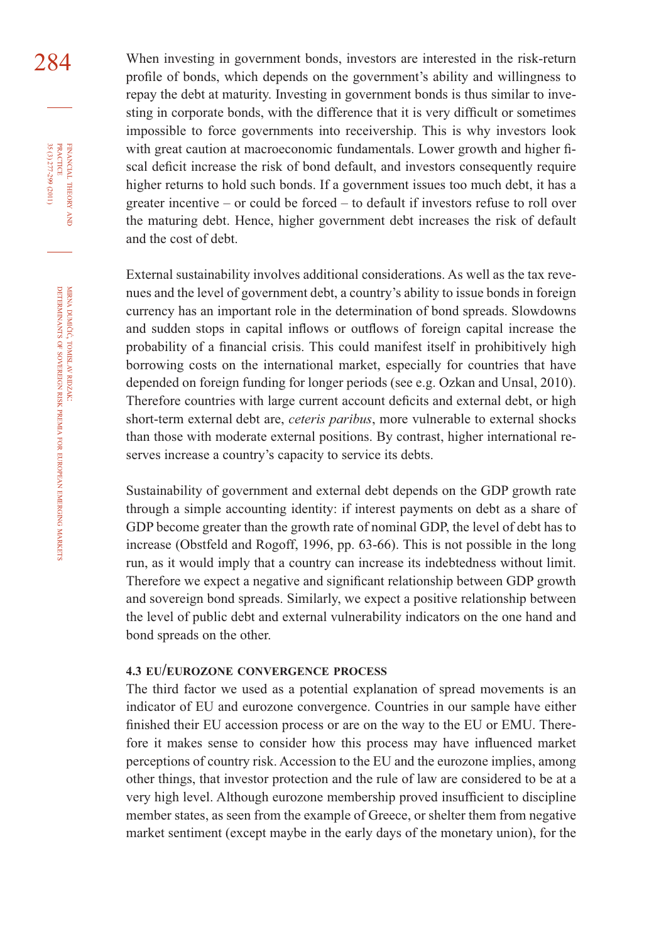284 When investing in government bonds, investors are interested in the risk-return profile of bonds, which depends on the government's ability and willingness to repay the debt at maturity. Investing in government bonds is thus similar to investing in corporate bonds, with the difference that it is very difficult or sometimes impossible to force governments into receivership. This is why investors look with great caution at macroeconomic fundamentals. Lower growth and higher fiscal deficit increase the risk of bond default, and investors consequently require higher returns to hold such bonds. If a government issues too much debt, it has a greater incentive – or could be forced – to default if investors refuse to roll over the maturing debt. Hence, higher government debt increases the risk of default and the cost of debt.

> External sustainability involves additional considerations. As well as the tax revenues and the level of government debt, a country's ability to issue bonds in foreign currency has an important role in the determination of bond spreads. Slowdowns and sudden stops in capital inflows or outflows of foreign capital increase the probability of a financial crisis. This could manifest itself in prohibitively high borrowing costs on the international market, especially for countries that have depended on foreign funding for longer periods (see e.g. Ozkan and Unsal, 2010). Therefore countries with large current account deficits and external debt, or high short-term external debt are, *ceteris paribus*, more vulnerable to external shocks than those with moderate external positions. By contrast, higher international reserves increase a country's capacity to service its debts.

> Sustainability of government and external debt depends on the GDP growth rate through a simple accounting identity: if interest payments on debt as a share of GDP become greater than the growth rate of nominal GDP, the level of debt has to increase (Obstfeld and Rogoff, 1996, pp. 63-66). This is not possible in the long run, as it would imply that a country can increase its indebtedness without limit. Therefore we expect a negative and significant relationship between GDP growth and sovereign bond spreads. Similarly, we expect a positive relationship between the level of public debt and external vulnerability indicators on the one hand and bond spreads on the other.

#### **4.3 EU/EUROZONE CONVERGENCE PROCESS**

The third factor we used as a potential explanation of spread movements is an indicator of EU and eurozone convergence. Countries in our sample have either finished their EU accession process or are on the way to the EU or EMU. Therefore it makes sense to consider how this process may have influenced market perceptions of country risk. Accession to the EU and the eurozone implies, among other things, that investor protection and the rule of law are considered to be at a very high level. Although eurozone membership proved insufficient to discipline member states, as seen from the example of Greece, or shelter them from negative market sentiment (except maybe in the early days of the monetary union), for the

FINANCIAL

35 (3) 277-299 (2011)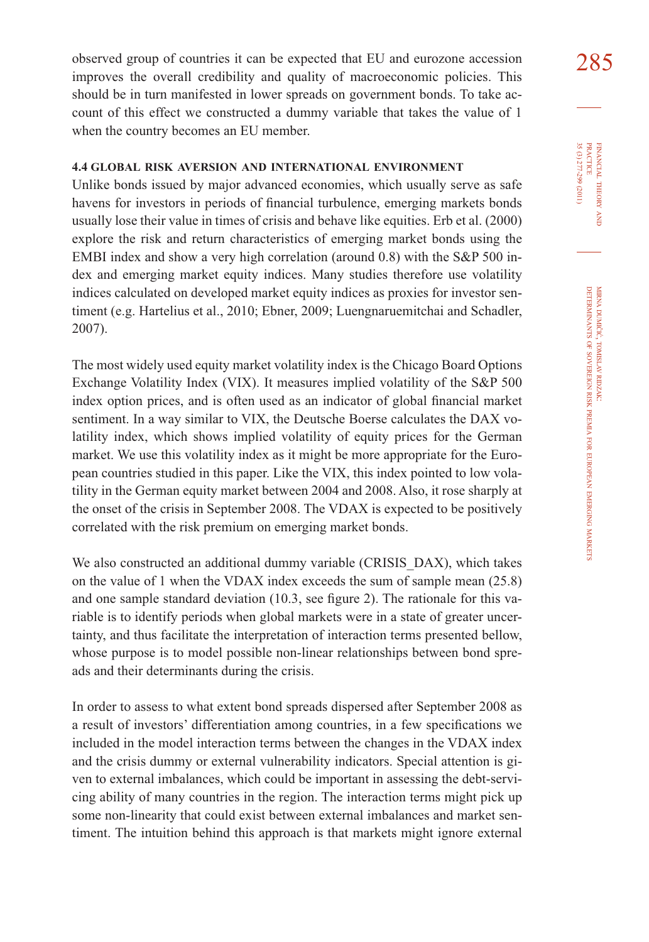observed group of countries it can be expected that EU and eurozone accession  $285$ improves the overall credibility and quality of macroeconomic policies. This should be in turn manifested in lower spreads on government bonds. To take account of this effect we constructed a dummy variable that takes the value of 1 when the country becomes an EU member.

#### **4.4 GLOBAL RISK AVERSION AND INTERNATIONAL ENVIRONMENT**

Unlike bonds issued by major advanced economies, which usually serve as safe havens for investors in periods of financial turbulence, emerging markets bonds usually lose their value in times of crisis and behave like equities. Erb et al. (2000) explore the risk and return characteristics of emerging market bonds using the EMBI index and show a very high correlation (around 0.8) with the S&P 500 index and emerging market equity indices. Many studies therefore use volatility indices calculated on developed market equity indices as proxies for investor sentiment (e.g. Hartelius et al., 2010; Ebner, 2009; Luengnaruemitchai and Schadler, 2007).

The most widely used equity market volatility index is the Chicago Board Options Exchange Volatility Index (VIX). It measures implied volatility of the S&P 500 index option prices, and is often used as an indicator of global financial market sentiment. In a way similar to VIX, the Deutsche Boerse calculates the DAX volatility index, which shows implied volatility of equity prices for the German market. We use this volatility index as it might be more appropriate for the European countries studied in this paper. Like the VIX, this index pointed to low volatility in the German equity market between 2004 and 2008. Also, it rose sharply at the onset of the crisis in September 2008. The VDAX is expected to be positively correlated with the risk premium on emerging market bonds.

We also constructed an additional dummy variable (CRISIS DAX), which takes on the value of 1 when the VDAX index exceeds the sum of sample mean (25.8) and one sample standard deviation  $(10.3, \text{ see figure 2})$ . The rationale for this variable is to identify periods when global markets were in a state of greater uncertainty, and thus facilitate the interpretation of interaction terms presented bellow, whose purpose is to model possible non-linear relationships between bond spreads and their determinants during the crisis.

In order to assess to what extent bond spreads dispersed after September 2008 as a result of investors' differentiation among countries, in a few specifications we included in the model interaction terms between the changes in the VDAX index and the crisis dummy or external vulnerability indicators. Special attention is given to external imbalances, which could be important in assessing the debt-servicing ability of many countries in the region. The interaction terms might pick up some non-linearity that could exist between external imbalances and market sentiment. The intuition behind this approach is that markets might ignore external

FINANCIAL THEORY FINANCIAL THEORY AND<br>PRACTICE<br>35 (3) 277-299 (2011) 35 (3) 277-299 (2011) PRACTICE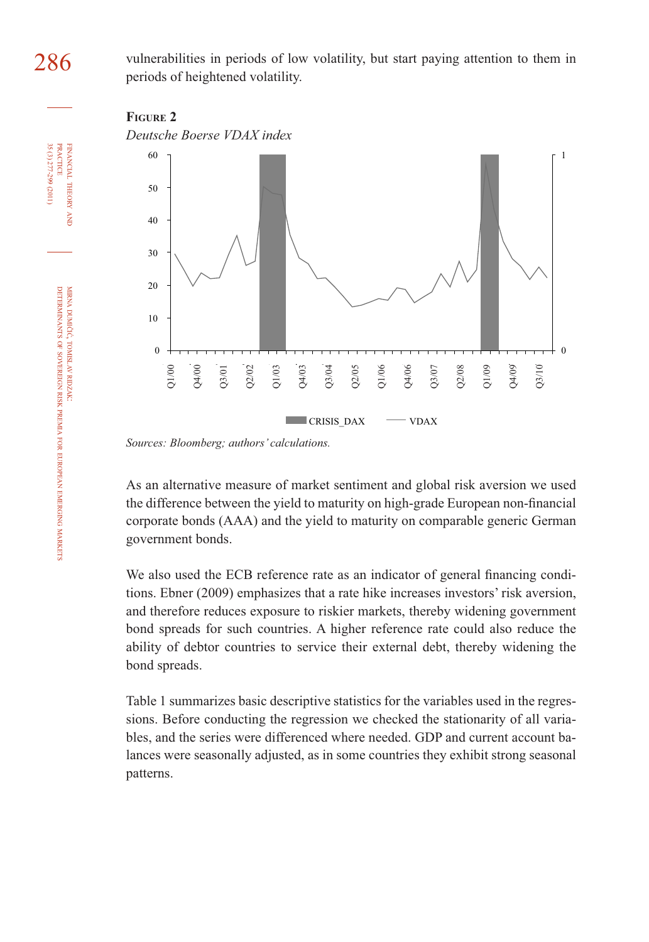286 vulnerabilities in periods of low volatility, but start paying attention to them in periods of heightened volatility.





*Sources: Bloomberg; authors' calculations.*

As an alternative measure of market sentiment and global risk aversion we used the difference between the yield to maturity on high-grade European non-financial corporate bonds (AAA) and the yield to maturity on comparable generic German government bonds.

We also used the ECB reference rate as an indicator of general financing conditions. Ebner (2009) emphasizes that a rate hike increases investors' risk aversion, and therefore reduces exposure to riskier markets, thereby widening government bond spreads for such countries. A higher reference rate could also reduce the ability of debtor countries to service their external debt, thereby widening the bond spreads.

Table 1 summarizes basic descriptive statistics for the variables used in the regressions. Before conducting the regression we checked the stationarity of all variables, and the series were differenced where needed. GDP and current account balances were seasonally adjusted, as in some countries they exhibit strong seasonal patterns.

FINANCIAL THEORY<br>PRACTICE 35 (3) 277-299 (2011) 35 (3) 277-299 (2011) PRACTICE FINANCIAL THEORY AND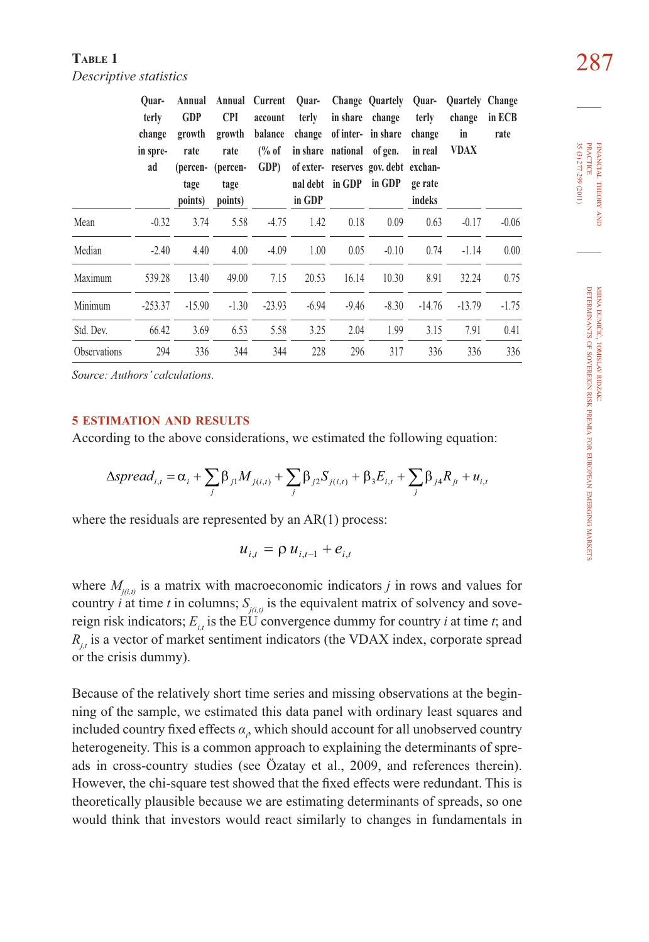#### **TABLE 1** 287 *Descriptive statistics*

|              | Ouar-<br>terly<br>change<br>in spre-<br>ad | <b>GDP</b><br>growth<br>rate<br>tage<br>points) | Annual Annual Current<br><b>CPI</b><br>growth<br>rate<br>(percen- (percen-<br>tage<br>points) | account<br>balance<br>$\frac{6}{6}$ of<br>GDP) | Ouar-<br>terly<br>in GDP | in share national of gen. | Change Quartely<br>in share change<br>change of inter- in share<br>of exter- reserves gov. debt exchan-<br>nal debt in GDP in GDP | Ouar-<br>terly<br>change<br>in real<br>ge rate<br>indeks | Quartely Change<br>change<br>in<br><b>VDAX</b> | in ECB<br>rate |
|--------------|--------------------------------------------|-------------------------------------------------|-----------------------------------------------------------------------------------------------|------------------------------------------------|--------------------------|---------------------------|-----------------------------------------------------------------------------------------------------------------------------------|----------------------------------------------------------|------------------------------------------------|----------------|
| Mean         | $-0.32$                                    | 3.74                                            | 5.58                                                                                          | $-4.75$                                        | 1.42                     | 0.18                      | 0.09                                                                                                                              | 0.63                                                     | $-0.17$                                        | $-0.06$        |
| Median       | $-2.40$                                    | 4.40                                            | 4.00                                                                                          | $-4.09$                                        | 1.00                     | 0.05                      | $-0.10$                                                                                                                           | 0.74                                                     | $-1.14$                                        | 0.00           |
| Maximum      | 539.28                                     | 13.40                                           | 49.00                                                                                         | 7.15                                           | 20.53                    | 16.14                     | 10.30                                                                                                                             | 8.91                                                     | 32.24                                          | 0.75           |
| Minimum      | $-253.37$                                  | $-15.90$                                        | $-1.30$                                                                                       | $-23.93$                                       | $-6.94$                  | $-9.46$                   | $-8.30$                                                                                                                           | $-14.76$                                                 | $-13.79$                                       | $-1.75$        |
| Std. Dev.    | 66.42                                      | 3.69                                            | 6.53                                                                                          | 5.58                                           | 3.25                     | 2.04                      | 1.99                                                                                                                              | 3.15                                                     | 7.91                                           | 0.41           |
| Observations | 294                                        | 336                                             | 344                                                                                           | 344                                            | 228                      | 296                       | 317                                                                                                                               | 336                                                      | 336                                            | 336            |

*Source: Authors' calculations.*

#### **5 ESTIMATION AND RESULTS**

According to the above considerations, we estimated the following equation:

$$
\Delta spread_{i,t} = \alpha_i + \sum_j \beta_{j1} M_{j(i,t)} + \sum_j \beta_{j2} S_{j(i,t)} + \beta_3 E_{i,t} + \sum_j \beta_{j4} R_{jt} + u_{i,t}
$$

where the residuals are represented by an AR(1) process:

$$
u_{i,t} = \rho u_{i,t-1} + e_{i,t}
$$

where  $M_{j(i,j)}$  is a matrix with macroeconomic indicators *j* in rows and values for country *i* at time *t* in columns;  $S_{j(i,t)}$  is the equivalent matrix of solvency and sovereign risk indicators;  $E_{i}$  is the EU convergence dummy for country *i* at time *t*; and  $R_{i}$  is a vector of market sentiment indicators (the VDAX index, corporate spread or the crisis dummy).

Because of the relatively short time series and missing observations at the beginning of the sample, we estimated this data panel with ordinary least squares and included country fixed effects  $\alpha$ <sub>i</sub>, which should account for all unobserved country heterogeneity. This is a common approach to explaining the determinants of spreads in cross-country studies (see Özatay et al., 2009, and references therein). However, the chi-square test showed that the fixed effects were redundant. This is theoretically plausible because we are estimating determinants of spreads, so one would think that investors would react similarly to changes in fundamentals in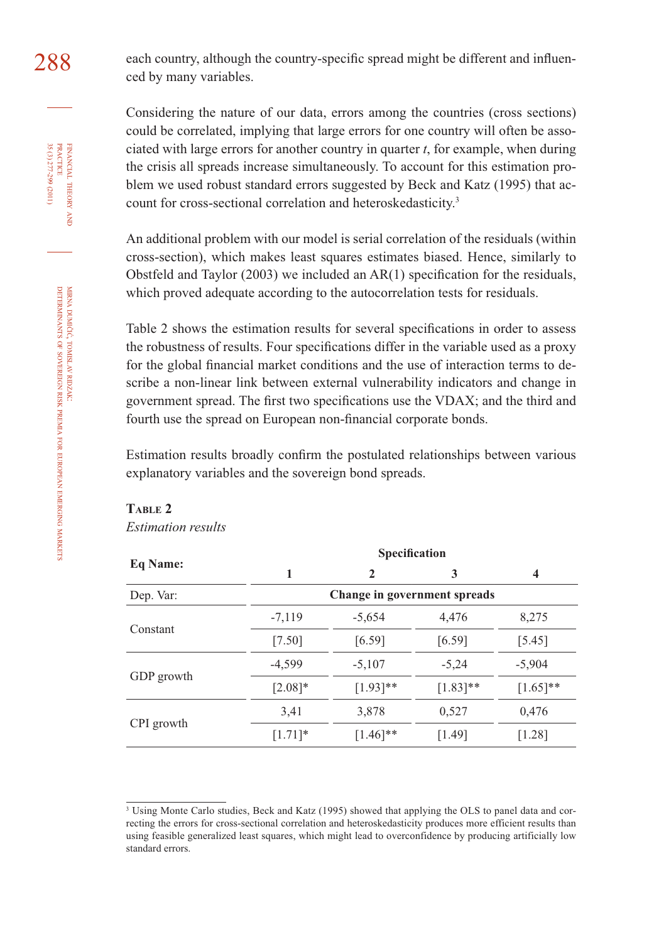288 each country, although the country-specific spread might be different and influenced by many variables.

> Considering the nature of our data, errors among the countries (cross sections) could be correlated, implying that large errors for one country will often be associated with large errors for another country in quarter *t*, for example, when during the crisis all spreads increase simultaneously. To account for this estimation problem we used robust standard errors suggested by Beck and Katz (1995) that account for cross-sectional correlation and heteroskedasticity.<sup>3</sup>

> An additional problem with our model is serial correlation of the residuals (within cross-section), which makes least squares estimates biased. Hence, similarly to Obstfeld and Taylor (2003) we included an  $AR(1)$  specification for the residuals, which proved adequate according to the autocorrelation tests for residuals.

> Table 2 shows the estimation results for several specifications in order to assess the robustness of results. Four specifications differ in the variable used as a proxy for the global financial market conditions and the use of interaction terms to describe a non-linear link between external vulnerability indicators and change in government spread. The first two specifications use the VDAX; and the third and fourth use the spread on European non-financial corporate bonds.

> Estimation results broadly confirm the postulated relationships between various explanatory variables and the sovereign bond spreads.

#### **TABLE 2**

*Estimation results*

|            | Specification                |              |             |                         |  |  |  |
|------------|------------------------------|--------------|-------------|-------------------------|--|--|--|
| Eq Name:   | 1                            | $\mathbf{2}$ | 3           | $\overline{\mathbf{4}}$ |  |  |  |
| Dep. Var:  | Change in government spreads |              |             |                         |  |  |  |
|            | $-7,119$                     | $-5,654$     | 4,476       | 8,275                   |  |  |  |
| Constant   | $[7.50]$                     | [6.59]       | [6.59]      | [5.45]                  |  |  |  |
|            | $-4,599$                     | $-5,107$     | $-5,24$     | $-5,904$                |  |  |  |
| GDP growth | $[2.08]*$                    | $[1.93]$ **  | $[1.83]$ ** | $[1.65]$ **             |  |  |  |
|            | 3,41                         | 3,878        | 0,527       | 0,476                   |  |  |  |
| CPI growth | $[1.71]$ *                   | $[1.46]$ **  | [1.49]      | $[1.28]$                |  |  |  |

<sup>&</sup>lt;sup>3</sup> Using Monte Carlo studies, Beck and Katz (1995) showed that applying the OLS to panel data and correcting the errors for cross-sectional correlation and heteroskedasticity produces more efficient results than using feasible generalized least squares, which might lead to overconfidence by producing artificially low standard errors.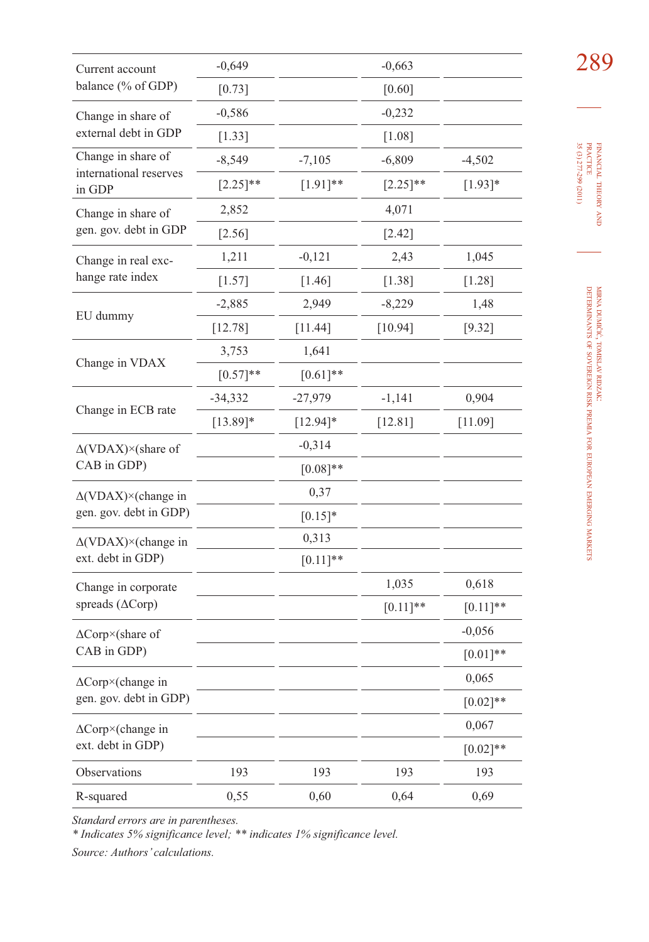| Current account                    | $-0,649$    |             | $-0,663$    |             | 289                                                                 |
|------------------------------------|-------------|-------------|-------------|-------------|---------------------------------------------------------------------|
| balance (% of GDP)                 | $[0.73]$    |             | $[0.60]$    |             |                                                                     |
| Change in share of                 | $-0,586$    |             | $-0,232$    |             |                                                                     |
| external debt in GDP               | $[1.33]$    |             | $[1.08]$    |             |                                                                     |
| Change in share of                 | $-8,549$    | $-7,105$    | $-6,809$    | $-4,502$    |                                                                     |
| international reserves<br>in GDP   | $[2.25]$ ** | $[1.91]$ ** | $[2.25]$ ** | $[1.93]*$   | 35 (3) 277-299 (2011)<br>FINANCIAL THEORY AND PRACTICE              |
| Change in share of                 | 2,852       |             | 4,071       |             |                                                                     |
| gen. gov. debt in GDP              | $[2.56]$    |             | [2.42]      |             |                                                                     |
| Change in real exc-                | 1,211       | $-0,121$    | 2,43        | 1,045       |                                                                     |
| hange rate index                   | $[1.57]$    | $[1.46]$    | $[1.38]$    | $[1.28]$    |                                                                     |
|                                    | $-2,885$    | 2,949       | $-8,229$    | 1,48        |                                                                     |
| EU dummy                           | $[12.78]$   | $[11.44]$   | $[10.94]$   | [9.32]      | MIRNA DUMIČIĆ, TOMISLAV RIDZAK:                                     |
|                                    | 3,753       | 1,641       |             |             |                                                                     |
| Change in VDAX                     | $[0.57]$ ** | $[0.61]$ ** |             |             |                                                                     |
|                                    | $-34,332$   | $-27,979$   | $-1,141$    | 0,904       |                                                                     |
| Change in ECB rate                 | $[13.89]*$  | $[12.94]$ * | $[12.81]$   | [11.09]     | DETERMINANTS OF SOVEREIGN RISK PREMIA FOR EUROPEAN EMERGING MARKETS |
| $\Delta$ (VDAX) $\times$ (share of |             | $-0,314$    |             |             |                                                                     |
| CAB in GDP)                        |             | $[0.08]**$  |             |             |                                                                     |
| $\Delta$ (VDAX) × (change in       |             | 0,37        |             |             |                                                                     |
| gen. gov. debt in GDP)             |             | $[0.15]*$   |             |             |                                                                     |
| $\Delta$ (VDAX)×(change in         |             | 0,313       |             |             |                                                                     |
| ext. debt in GDP)                  |             | $[0.11]$ ** |             |             |                                                                     |
| Change in corporate                |             |             | 1,035       | 0,618       |                                                                     |
| spreads ( $\Delta$ Corp)           |             |             | $[0.11]$ ** | $[0.11]$ ** |                                                                     |
| $\Delta$ Corp×(share of            |             |             |             | $-0,056$    |                                                                     |
| CAB in GDP)                        |             |             |             | $[0.01]$ ** |                                                                     |
| ∆Corp×(change in                   |             |             |             | 0,065       |                                                                     |
| gen. gov. debt in GDP)             |             |             |             | $[0.02]$ ** |                                                                     |
| $\Delta$ Corp×(change in           |             |             |             | 0,067       |                                                                     |
| ext. debt in GDP)                  |             |             |             | $[0.02]$ ** |                                                                     |
| Observations                       | 193         | 193         | 193         | 193         |                                                                     |
| R-squared                          | 0,55        | 0,60        | 0,64        | 0,69        |                                                                     |

*Standard errors are in parentheses.* 

*\* Indicates 5% significance level; \*\* indicates 1% significance level.*

*Source: Authors' calculations.*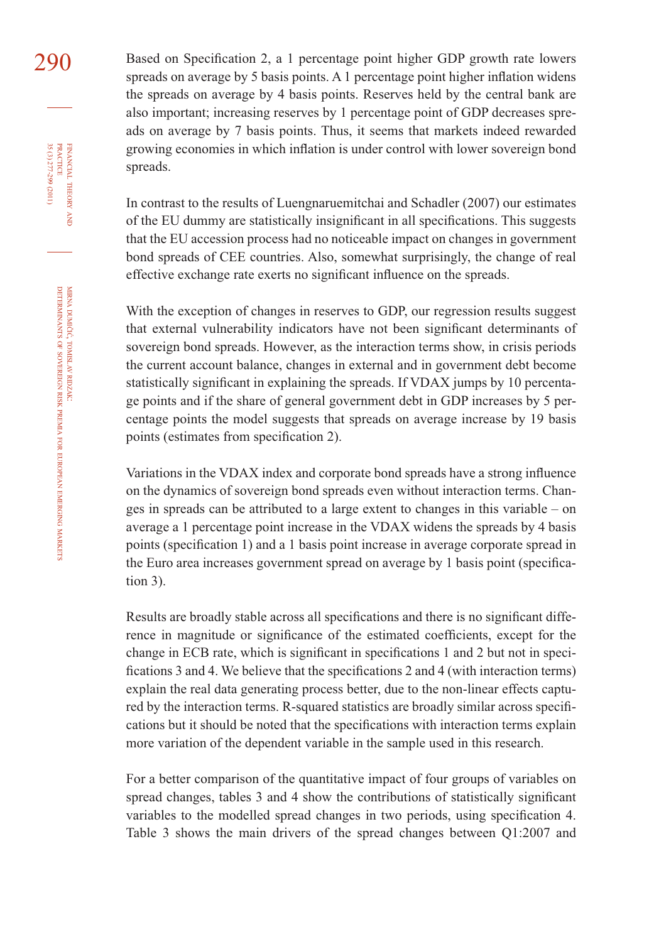290 Based on Specification 2, a 1 percentage point higher GDP growth rate lowers spreads on average by 5 basis points. A 1 percentage point higher inflation widens the spreads on average by 4 basis points. Reserves held by the central bank are also important; increasing reserves by 1 percentage point of GDP decreases spreads on average by 7 basis points. Thus, it seems that markets indeed rewarded growing economies in which inflation is under control with lower sovereign bond spreads.

> In contrast to the results of Luengnaruemitchai and Schadler (2007) our estimates of the EU dummy are statistically insignificant in all specifications. This suggests that the EU accession process had no noticeable impact on changes in government bond spreads of CEE countries. Also, somewhat surprisingly, the change of real effective exchange rate exerts no significant influence on the spreads.

> With the exception of changes in reserves to GDP, our regression results suggest that external vulnerability indicators have not been significant determinants of sovereign bond spreads. However, as the interaction terms show, in crisis periods the current account balance, changes in external and in government debt become statistically significant in explaining the spreads. If VDAX jumps by 10 percentage points and if the share of general government debt in GDP increases by 5 percentage points the model suggests that spreads on average increase by 19 basis points (estimates from specification 2).

> Variations in the VDAX index and corporate bond spreads have a strong influence on the dynamics of sovereign bond spreads even without interaction terms. Changes in spreads can be attributed to a large extent to changes in this variable – on average a 1 percentage point increase in the VDAX widens the spreads by 4 basis points (specification 1) and a 1 basis point increase in average corporate spread in the Euro area increases government spread on average by 1 basis point (specification 3).

> Results are broadly stable across all specifications and there is no significant difference in magnitude or significance of the estimated coefficients, except for the change in ECB rate, which is significant in specifications 1 and 2 but not in specifications 3 and 4. We believe that the specifications 2 and 4 (with interaction terms) explain the real data generating process better, due to the non-linear effects captured by the interaction terms. R-squared statistics are broadly similar across specifi cations but it should be noted that the specifications with interaction terms explain more variation of the dependent variable in the sample used in this research.

> For a better comparison of the quantitative impact of four groups of variables on spread changes, tables 3 and 4 show the contributions of statistically significant variables to the modelled spread changes in two periods, using specification 4. Table 3 shows the main drivers of the spread changes between Q1:2007 and

FINANCIAL

35 (3) 277-299 (2011)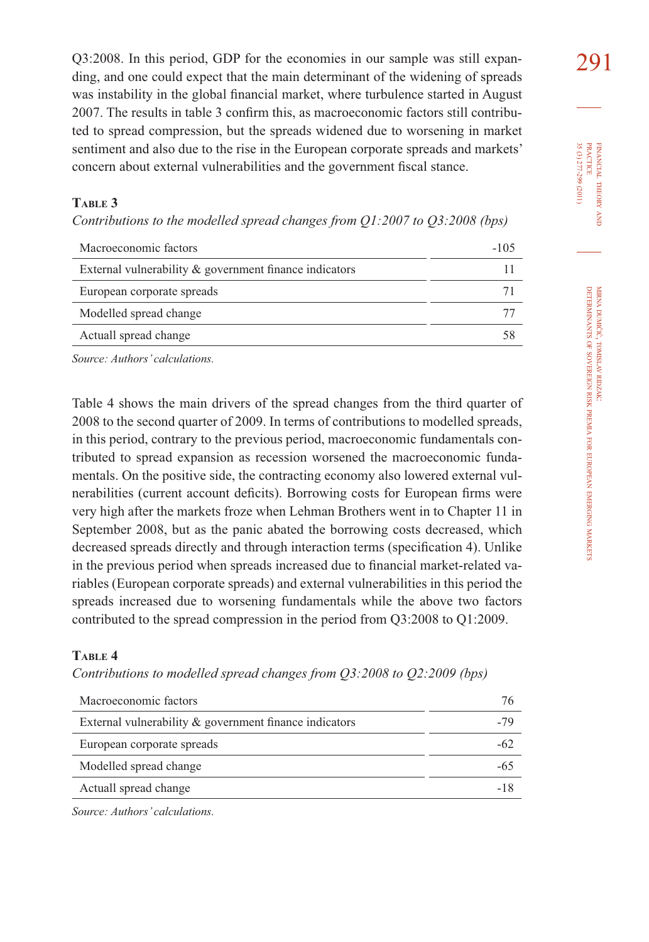Q3:2008. In this period, GDP for the economies in our sample was still expan- $291$ ding, and one could expect that the main determinant of the widening of spreads was instability in the global financial market, where turbulence started in August 2007. The results in table 3 confirm this, as macroeconomic factors still contributed to spread compression, but the spreads widened due to worsening in market sentiment and also due to the rise in the European corporate spreads and markets' concern about external vulnerabilities and the government fiscal stance.

#### **TABLE 3**

*Contributions to the modelled spread changes from Q1:2007 to Q3:2008 (bps)* 

| Macroeconomic factors                                     | -105 |
|-----------------------------------------------------------|------|
| External vulnerability $\&$ government finance indicators |      |
| European corporate spreads                                |      |
| Modelled spread change                                    |      |
| Actuall spread change                                     |      |
|                                                           |      |

*Source: Authors' calculations.*

Table 4 shows the main drivers of the spread changes from the third quarter of 2008 to the second quarter of 2009. In terms of contributions to modelled spreads, in this period, contrary to the previous period, macroeconomic fundamentals contributed to spread expansion as recession worsened the macroeconomic fundamentals. On the positive side, the contracting economy also lowered external vulnerabilities (current account deficits). Borrowing costs for European firms were very high after the markets froze when Lehman Brothers went in to Chapter 11 in September 2008, but as the panic abated the borrowing costs decreased, which decreased spreads directly and through interaction terms (specification 4). Unlike in the previous period when spreads increased due to financial market-related variables (European corporate spreads) and external vulnerabilities in this period the spreads increased due to worsening fundamentals while the above two factors contributed to the spread compression in the period from Q3:2008 to Q1:2009.

#### **TABLE 4**

*Contributions to modelled spread changes from Q3:2008 to Q2:2009 (bps)* 

| Macroeconomic factors                                  | 76  |
|--------------------------------------------------------|-----|
| External vulnerability & government finance indicators |     |
| European corporate spreads                             |     |
| Modelled spread change                                 |     |
| Actuall spread change                                  | -18 |

*Source: Authors' calculations.*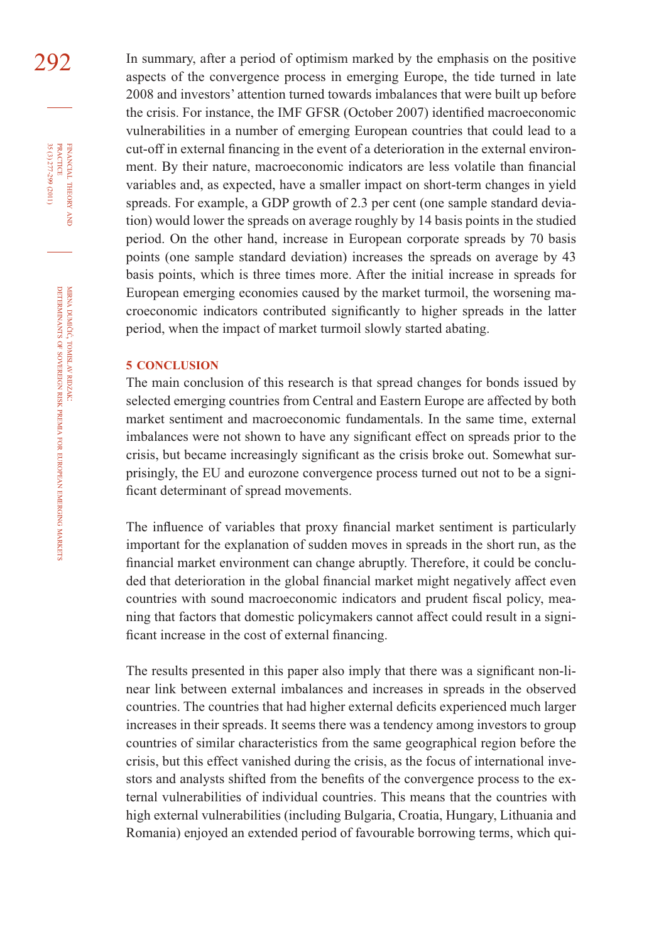292 In summary, after a period of optimism marked by the emphasis on the positive aspects of the convergence process in emerging Europe, the tide turned in late 2008 and investors' attention turned towards imbalances that were built up before the crisis. For instance, the IMF GFSR (October 2007) identified macroeconomic vulnerabilities in a number of emerging European countries that could lead to a cut-off in external financing in the event of a deterioration in the external environment. By their nature, macroeconomic indicators are less volatile than financial variables and, as expected, have a smaller impact on short-term changes in yield spreads. For example, a GDP growth of 2.3 per cent (one sample standard deviation) would lower the spreads on average roughly by 14 basis points in the studied period. On the other hand, increase in European corporate spreads by 70 basis points (one sample standard deviation) increases the spreads on average by 43 basis points, which is three times more. After the initial increase in spreads for European emerging economies caused by the market turmoil, the worsening macroeconomic indicators contributed significantly to higher spreads in the latter period, when the impact of market turmoil slowly started abating.

#### **5 CONCLUSION**

The main conclusion of this research is that spread changes for bonds issued by selected emerging countries from Central and Eastern Europe are affected by both market sentiment and macroeconomic fundamentals. In the same time, external imbalances were not shown to have any significant effect on spreads prior to the crisis, but became increasingly significant as the crisis broke out. Somewhat surprisingly, the EU and eurozone convergence process turned out not to be a significant determinant of spread movements.

The influence of variables that proxy financial market sentiment is particularly important for the explanation of sudden moves in spreads in the short run, as the financial market environment can change abruptly. Therefore, it could be concluded that deterioration in the global financial market might negatively affect even countries with sound macroeconomic indicators and prudent fiscal policy, meaning that factors that domestic policymakers cannot affect could result in a significant increase in the cost of external financing.

The results presented in this paper also imply that there was a significant non-linear link between external imbalances and increases in spreads in the observed countries. The countries that had higher external deficits experienced much larger increases in their spreads. It seems there was a tendency among investors to group countries of similar characteristics from the same geographical region before the crisis, but this effect vanished during the crisis, as the focus of international investors and analysts shifted from the benefits of the convergence process to the external vulnerabilities of individual countries. This means that the countries with high external vulnerabilities (including Bulgaria, Croatia, Hungary, Lithuania and Romania) enjoyed an extended period of favourable borrowing terms, which qui-

FINANCIAL

35 (3) 277-299 (2011)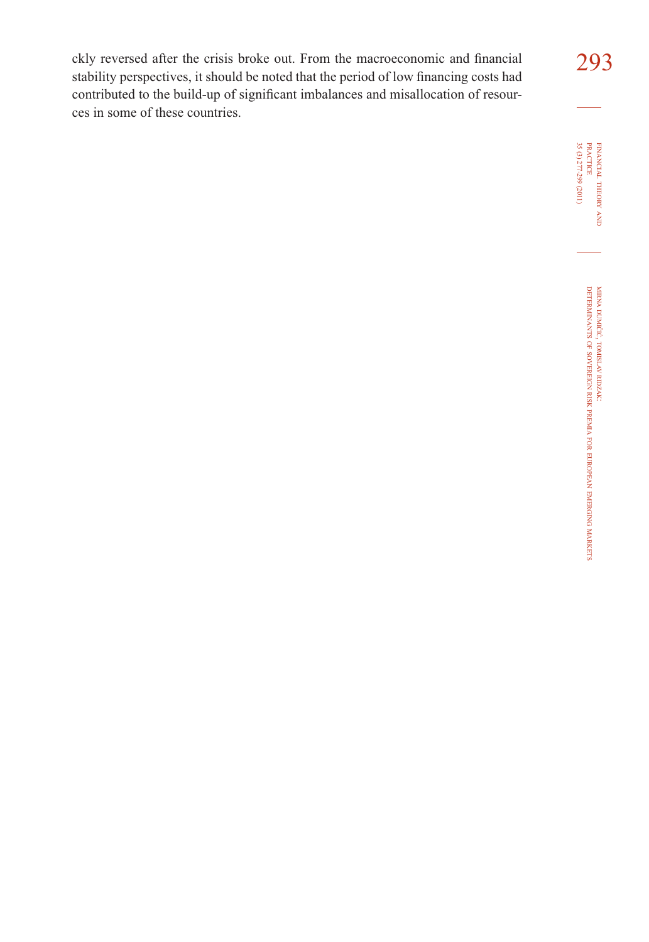ckly reversed after the crisis broke out. From the macroeconomic and financial 293 stability perspectives, it should be noted that the period of low financing costs had contributed to the build-up of significant imbalances and misallocation of resources in some of these countries.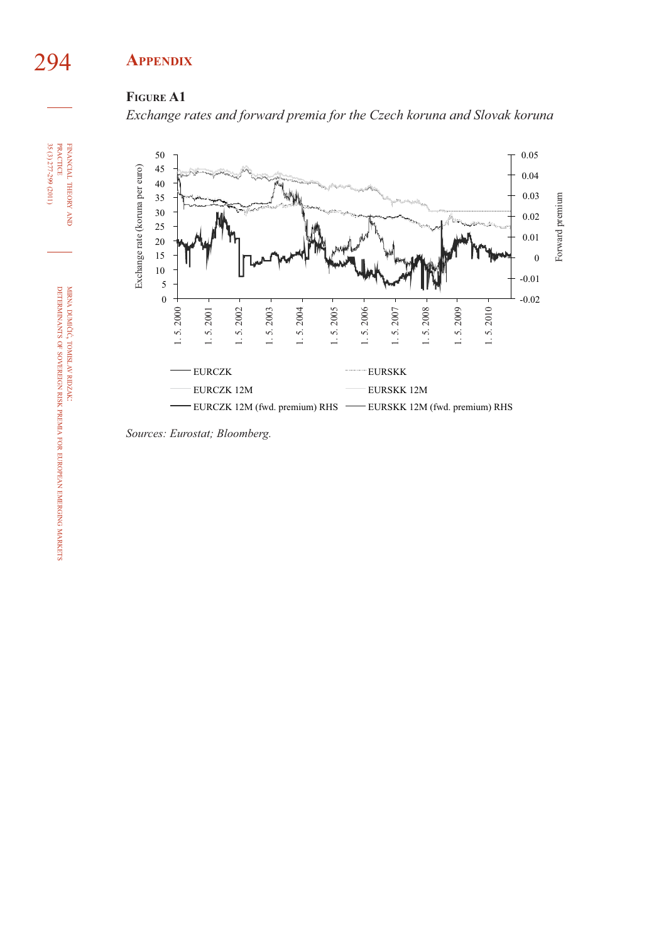## 294 **APPENDIX**

### **FIGURE A1**

*Exchange rates and forward premia for the Czech koruna and Slovak koruna*



*Sources: Eurostat; Bloomberg.*

FINANCIAL

 $35(3)277-299(2011)$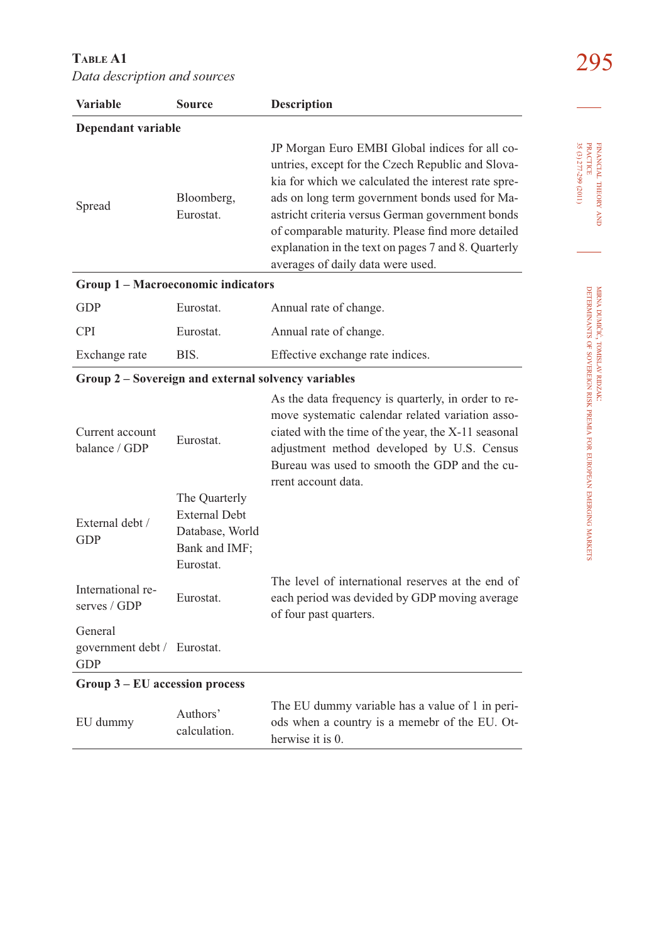295 **TABLE A1**  *Data description and sources*

| <b>Variable</b>                                     | <b>Source</b>                                                                          | <b>Description</b>                                                                                                                                                                                                                                                                                                                                                                                                |  |  |
|-----------------------------------------------------|----------------------------------------------------------------------------------------|-------------------------------------------------------------------------------------------------------------------------------------------------------------------------------------------------------------------------------------------------------------------------------------------------------------------------------------------------------------------------------------------------------------------|--|--|
| Dependant variable                                  |                                                                                        |                                                                                                                                                                                                                                                                                                                                                                                                                   |  |  |
| Bloomberg,<br>Spread<br>Eurostat.                   |                                                                                        | JP Morgan Euro EMBI Global indices for all co-<br>untries, except for the Czech Republic and Slova-<br>kia for which we calculated the interest rate spre-<br>ads on long term government bonds used for Ma-<br>astricht criteria versus German government bonds<br>of comparable maturity. Please find more detailed<br>explanation in the text on pages 7 and 8. Quarterly<br>averages of daily data were used. |  |  |
| Group 1 - Macroeconomic indicators                  |                                                                                        |                                                                                                                                                                                                                                                                                                                                                                                                                   |  |  |
| GDP                                                 | Eurostat.                                                                              | Annual rate of change.                                                                                                                                                                                                                                                                                                                                                                                            |  |  |
| <b>CPI</b>                                          | Eurostat.                                                                              | Annual rate of change.                                                                                                                                                                                                                                                                                                                                                                                            |  |  |
| Exchange rate                                       | BIS.                                                                                   | Effective exchange rate indices.                                                                                                                                                                                                                                                                                                                                                                                  |  |  |
| Group 2 - Sovereign and external solvency variables |                                                                                        |                                                                                                                                                                                                                                                                                                                                                                                                                   |  |  |
| Current account<br>balance / GDP                    | Eurostat.                                                                              | As the data frequency is quarterly, in order to re-<br>move systematic calendar related variation asso-<br>ciated with the time of the year, the X-11 seasonal<br>adjustment method developed by U.S. Census<br>Bureau was used to smooth the GDP and the cu-<br>rrent account data.                                                                                                                              |  |  |
| External debt /<br><b>GDP</b>                       | The Quarterly<br><b>External Debt</b><br>Database, World<br>Bank and IMF;<br>Eurostat. |                                                                                                                                                                                                                                                                                                                                                                                                                   |  |  |
| International re-<br>serves / $GDP$                 | Eurostat.                                                                              | The level of international reserves at the end of<br>each period was devided by GDP moving average<br>of four past quarters.                                                                                                                                                                                                                                                                                      |  |  |
| General<br>government debt /<br><b>GDP</b>          | Eurostat.                                                                              |                                                                                                                                                                                                                                                                                                                                                                                                                   |  |  |
| Group 3 – EU accession process                      |                                                                                        |                                                                                                                                                                                                                                                                                                                                                                                                                   |  |  |
| EU dummy                                            | Authors'<br>calculation.                                                               | The EU dummy variable has a value of 1 in peri-<br>ods when a country is a memebr of the EU. Ot-<br>herwise it is 0.                                                                                                                                                                                                                                                                                              |  |  |

FINANCIAL THEORY FINANCIAL THEORY AND<br>PRACTICE<br>35 (3) 277-299 (2011) 35 (3) 277-299 (2011) PRACTICE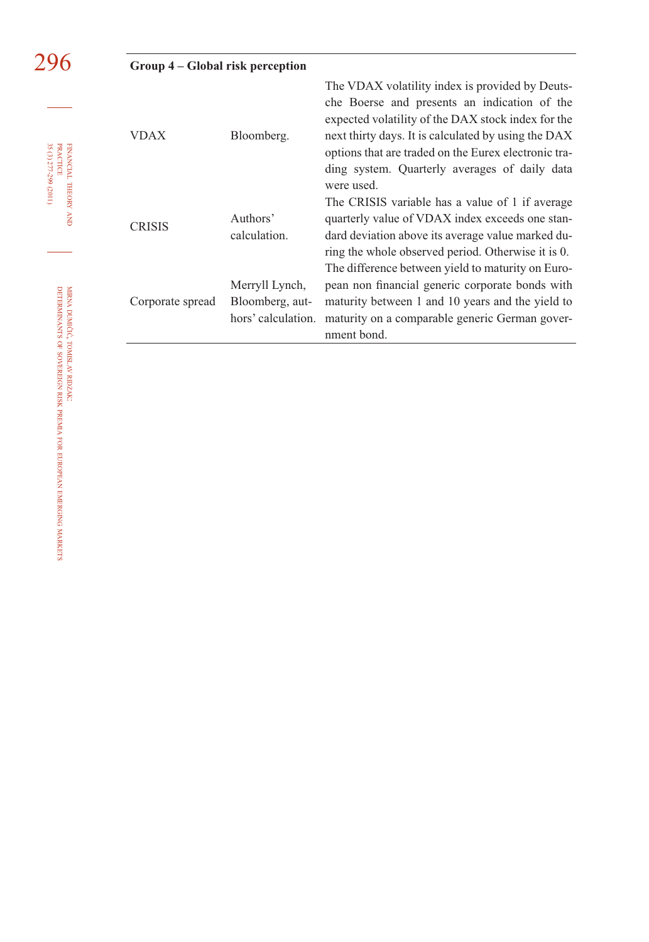|                                                                  | Group 4 – Global risk perception |                                                         |                                                                                                                                                                                                                                                                                                                                     |  |  |  |
|------------------------------------------------------------------|----------------------------------|---------------------------------------------------------|-------------------------------------------------------------------------------------------------------------------------------------------------------------------------------------------------------------------------------------------------------------------------------------------------------------------------------------|--|--|--|
| <b>PRACTICE</b><br>35 (3) 277-299 (2011)<br>FINANCIAL THEORY AND | <b>VDAX</b>                      | Bloomberg.                                              | The VDAX volatility index is provided by Deuts-<br>che Boerse and presents an indication of the<br>expected volatility of the DAX stock index for the<br>next thirty days. It is calculated by using the DAX<br>options that are traded on the Eurex electronic tra-<br>ding system. Quarterly averages of daily data<br>were used. |  |  |  |
|                                                                  | <b>CRISIS</b>                    | Authors'<br>calculation.                                | The CRISIS variable has a value of 1 if average<br>quarterly value of VDAX index exceeds one stan-<br>dard deviation above its average value marked du-<br>ring the whole observed period. Otherwise it is 0.<br>The difference between yield to maturity on Euro-                                                                  |  |  |  |
| MIRNA DUMIČIĆ,<br><b>DETERMINANTS</b>                            | Corporate spread                 | Merryll Lynch,<br>Bloomberg, aut-<br>hors' calculation. | pean non financial generic corporate bonds with<br>maturity between 1 and 10 years and the yield to<br>maturity on a comparable generic German gover-<br>nment bond.                                                                                                                                                                |  |  |  |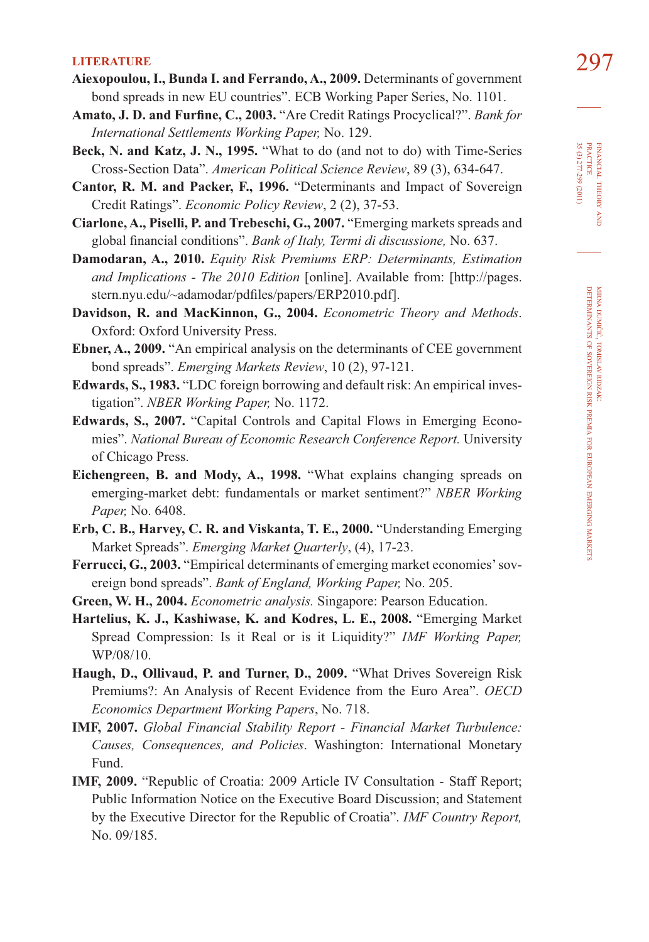- **LITERATURE** 297 **Aiexopoulou, I., Bunda I. and Ferrando, A., 2009.** Determinants of government bond spreads in new EU countries". ECB Working Paper Series, No. 1101.
- Amato, J. D. and Furfine, C., 2003. "Are Credit Ratings Procyclical?". *Bank for International Settlements Working Paper,* No. 129.
- **Beck, N. and Katz, J. N., 1995.** "What to do (and not to do) with Time-Series Cross-Section Data". *American Political Science Review*, 89 (3), 634-647.
- **Cantor, R. M. and Packer, F., 1996.** "Determinants and Impact of Sovereign Credit Ratings". *Economic Policy Review*, 2 (2), 37-53.
- **Ciarlone, A., Piselli, P. and Trebeschi, G., 2007.** "Emerging markets spreads and global financial conditions". *Bank of Italy, Termi di discussione*, No. 637.
- **Damodaran, A., 2010.** *Equity Risk Premiums ERP: Determinants, Estimation and Implications - The 2010 Edition* [online]. Available from: [http://pages. stern.nyu.edu/~adamodar/pdfiles/papers/ERP2010.pdf].
- **Davidson, R. and MacKinnon, G., 2004.** *Econometric Theory and Methods*. Oxford: Oxford University Press.
- **Ebner, A., 2009.** "An empirical analysis on the determinants of CEE government bond spreads". *Emerging Markets Review*, 10 (2), 97-121.
- **Edwards, S., 1983.** "LDC foreign borrowing and default risk: An empirical investigation". *NBER Working Paper,* No. 1172.
- **Edwards, S., 2007.** "Capital Controls and Capital Flows in Emerging Economies". *National Bureau of Economic Research Conference Report.* University of Chicago Press.
- **Eichengreen, B. and Mody, A., 1998.** "What explains changing spreads on emerging-market debt: fundamentals or market sentiment?" *NBER Working Paper,* No. 6408.
- **Erb, C. B., Harvey, C. R. and Viskanta, T. E., 2000.** "Understanding Emerging Market Spreads". *Emerging Market Quarterly*, (4), 17-23.
- **Ferrucci, G., 2003.** "Empirical determinants of emerging market economies' sovereign bond spreads". *Bank of England, Working Paper,* No. 205.
- **Green, W. H., 2004.** *Econometric analysis.* Singapore: Pearson Education.
- **Hartelius, K. J., Kashiwase, K. and Kodres, L. E., 2008.** "Emerging Market Spread Compression: Is it Real or is it Liquidity?" *IMF Working Paper,*  WP/08/10.
- Haugh, D., Ollivaud, P. and Turner, D., 2009. "What Drives Sovereign Risk Premiums?: An Analysis of Recent Evidence from the Euro Area". *OECD Economics Department Working Papers*, No. 718.
- **IMF, 2007.** *Global Financial Stability Report Financial Market Turbulence: Causes, Consequences, and Policies*. Washington: International Monetary Fund.
- **IMF, 2009.** "Republic of Croatia: 2009 Article IV Consultation Staff Report; Public Information Notice on the Executive Board Discussion; and Statement by the Executive Director for the Republic of Croatia". *IMF Country Report,* No. 09/185.

FINANCIAL THEORY FINANCIAL THEORY AND<br>PRACTICE<br>35 (3) 277-299 (2011) 35 (3) 277-299 (2011) PRACTICE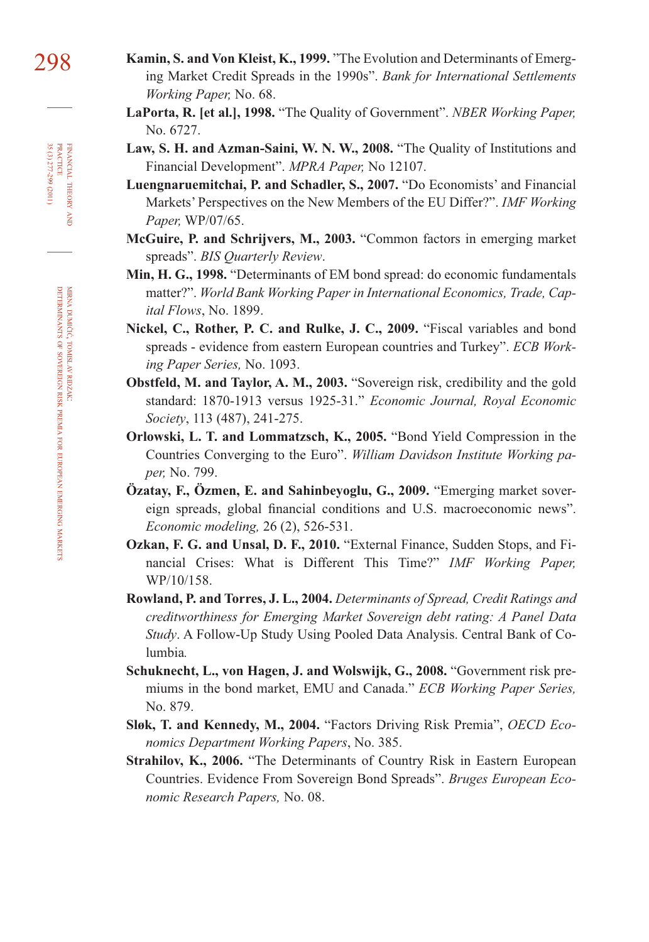- 298 **Kamin, S. and Von Kleist, K., 1999.** "The Evolution and Determinants of Emerging Market Credit Spreads in the 1990s". *Bank for International Settlements Working Paper,* No. 68.
	- **LaPorta, R. [et al.], 1998.** "The Quality of Government". *NBER Working Paper,*  No. 6727.
	- **Law, S. H. and Azman-Saini, W. N. W., 2008.** "The Quality of Institutions and Financial Development". *MPRA Paper,* No 12107.
	- **Luengnaruemitchai, P. and Schadler, S., 2007.** "Do Economists' and Financial Markets' Perspectives on the New Members of the EU Differ?". *IMF Working Paper,* WP/07/65.
	- **McGuire, P. and Schrijvers, M., 2003.** "Common factors in emerging market spreads". *BIS Quarterly Review*.
	- **Min, H. G., 1998.** "Determinants of EM bond spread: do economic fundamentals matter?". *World Bank Working Paper in International Economics, Trade, Capital Flows*, No. 1899.
	- **Nickel, C., Rother, P. C. and Rulke, J. C., 2009.** "Fiscal variables and bond spreads - evidence from eastern European countries and Turkey". *ECB Working Paper Series,* No. 1093.
	- **Obstfeld, M. and Taylor, A. M., 2003.** "Sovereign risk, credibility and the gold standard: 1870-1913 versus 1925-31." *Economic Journal, Royal Economic Society*, 113 (487), 241-275.
	- **Orlowski, L. T. and Lommatzsch, K., 2005.** "Bond Yield Compression in the Countries Converging to the Euro". *William Davidson Institute Working paper,* No. 799.
	- **Özatay, F., Özmen, E. and Sahinbeyoglu, G., 2009.** "Emerging market sovereign spreads, global financial conditions and U.S. macroeconomic news". *Economic modeling,* 26 (2), 526-531.
	- **Ozkan, F. G. and Unsal, D. F., 2010.** "External Finance, Sudden Stops, and Financial Crises: What is Different This Time?" *IMF Working Paper,*  WP/10/158.
	- **Rowland, P. and Torres, J. L., 2004.** *Determinants of Spread, Credit Ratings and creditworthiness for Emerging Market Sovereign debt rating: A Panel Data Study*. A Follow-Up Study Using Pooled Data Analysis. Central Bank of Columbia*.*
	- **Schuknecht, L., von Hagen, J. and Wolswijk, G., 2008.** "Government risk premiums in the bond market, EMU and Canada." *ECB Working Paper Series,*  No. 879.
	- **Sløk, T. and Kennedy, M., 2004.** "Factors Driving Risk Premia", *OECD Economics Department Working Papers*, No. 385.
	- **Strahilov, K., 2006.** "The Determinants of Country Risk in Eastern European Countries. Evidence From Sovereign Bond Spreads". *Bruges European Economic Research Papers,* No. 08.

FINANCIAL

THEORY FINANCIAL THEORY AND<br>PRACTICE<br>35 (3) 277-299 (2011) 35 (3) 277-299 (2011) PRACTICE